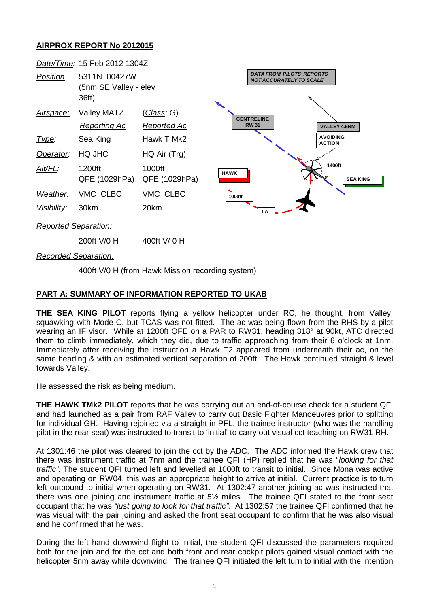## **AIRPROX REPORT No 2012015**



*Recorded Separation:*

400ft V/0 H (from Hawk Mission recording system)

## **PART A: SUMMARY OF INFORMATION REPORTED TO UKAB**

**THE SEA KING PILOT** reports flying a yellow helicopter under RC, he thought, from Valley, squawking with Mode C, but TCAS was not fitted. The ac was being flown from the RHS by a pilot wearing an IF visor. While at 1200ft QFE on a PAR to RW31, heading 318° at 90kt, ATC directed them to climb immediately, which they did, due to traffic approaching from their 6 o'clock at 1nm. Immediately after receiving the instruction a Hawk T2 appeared from underneath their ac, on the same heading & with an estimated vertical separation of 200ft. The Hawk continued straight & level towards Valley.

He assessed the risk as being medium.

**THE HAWK TMk2 PILOT** reports that he was carrying out an end-of-course check for a student QFI and had launched as a pair from RAF Valley to carry out Basic Fighter Manoeuvres prior to splitting for individual GH. Having rejoined via a straight in PFL, the trainee instructor (who was the handling pilot in the rear seat) was instructed to transit to 'initial' to carry out visual cct teaching on RW31 RH.

At 1301:46 the pilot was cleared to join the cct by the ADC. The ADC informed the Hawk crew that there was instrument traffic at 7nm and the trainee QFI (HP) replied that he was "*looking for that traffic"*. The student QFI turned left and levelled at 1000ft to transit to initial. Since Mona was active and operating on RW04, this was an appropriate height to arrive at initial. Current practice is to turn left outbound to initial when operating on RW31. At 1302:47 another joining ac was instructed that there was one joining and instrument traffic at 5½ miles. The trainee QFI stated to the front seat occupant that he was *"just going to look for that traffic".* At 1302:57 the trainee QFI confirmed that he was visual with the pair joining and asked the front seat occupant to confirm that he was also visual and he confirmed that he was.

During the left hand downwind flight to initial, the student QFI discussed the parameters required both for the join and for the cct and both front and rear cockpit pilots gained visual contact with the helicopter 5nm away while downwind. The trainee QFI initiated the left turn to initial with the intention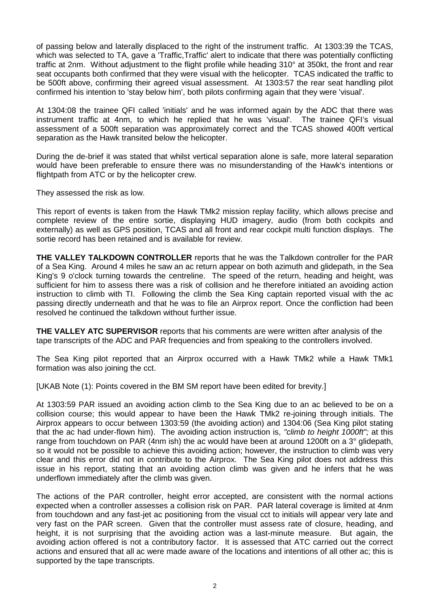of passing below and laterally displaced to the right of the instrument traffic. At 1303:39 the TCAS, which was selected to TA, gave a 'Traffic, Traffic' alert to indicate that there was potentially conflicting traffic at 2nm. Without adjustment to the flight profile while heading 310° at 350kt, the front and rear seat occupants both confirmed that they were visual with the helicopter. TCAS indicated the traffic to be 500ft above, confirming their agreed visual assessment. At 1303:57 the rear seat handling pilot confirmed his intention to 'stay below him', both pilots confirming again that they were 'visual'.

At 1304:08 the trainee QFI called 'initials' and he was informed again by the ADC that there was instrument traffic at 4nm, to which he replied that he was 'visual'. The trainee QFI's visual assessment of a 500ft separation was approximately correct and the TCAS showed 400ft vertical separation as the Hawk transited below the helicopter.

During the de-brief it was stated that whilst vertical separation alone is safe, more lateral separation would have been preferable to ensure there was no misunderstanding of the Hawk's intentions or flightpath from ATC or by the helicopter crew.

They assessed the risk as low.

This report of events is taken from the Hawk TMk2 mission replay facility, which allows precise and complete review of the entire sortie, displaying HUD imagery, audio (from both cockpits and externally) as well as GPS position, TCAS and all front and rear cockpit multi function displays. The sortie record has been retained and is available for review.

**THE VALLEY TALKDOWN CONTROLLER** reports that he was the Talkdown controller for the PAR of a Sea King. Around 4 miles he saw an ac return appear on both azimuth and glidepath, in the Sea King's 9 o'clock turning towards the centreline. The speed of the return, heading and height, was sufficient for him to assess there was a risk of collision and he therefore initiated an avoiding action instruction to climb with TI. Following the climb the Sea King captain reported visual with the ac passing directly underneath and that he was to file an Airprox report. Once the confliction had been resolved he continued the talkdown without further issue.

**THE VALLEY ATC SUPERVISOR** reports that his comments are were written after analysis of the tape transcripts of the ADC and PAR frequencies and from speaking to the controllers involved.

The Sea King pilot reported that an Airprox occurred with a Hawk TMk2 while a Hawk TMk1 formation was also joining the cct.

[UKAB Note (1): Points covered in the BM SM report have been edited for brevity.]

At 1303:59 PAR issued an avoiding action climb to the Sea King due to an ac believed to be on a collision course; this would appear to have been the Hawk TMk2 re-joining through initials. The Airprox appears to occur between 1303:59 (the avoiding action) and 1304:06 (Sea King pilot stating that the ac had under-flown him). The avoiding action instruction is, *"climb to height 1000ft";* at this range from touchdown on PAR (4nm ish) the ac would have been at around 1200ft on a 3° glidepath, so it would not be possible to achieve this avoiding action; however, the instruction to climb was very clear and this error did not in contribute to the Airprox. The Sea King pilot does not address this issue in his report, stating that an avoiding action climb was given and he infers that he was underflown immediately after the climb was given.

The actions of the PAR controller, height error accepted, are consistent with the normal actions expected when a controller assesses a collision risk on PAR. PAR lateral coverage is limited at 4nm from touchdown and any fast-jet ac positioning from the visual cct to initials will appear very late and very fast on the PAR screen. Given that the controller must assess rate of closure, heading, and height, it is not surprising that the avoiding action was a last-minute measure. But again, the avoiding action offered is not a contributory factor. It is assessed that ATC carried out the correct actions and ensured that all ac were made aware of the locations and intentions of all other ac; this is supported by the tape transcripts.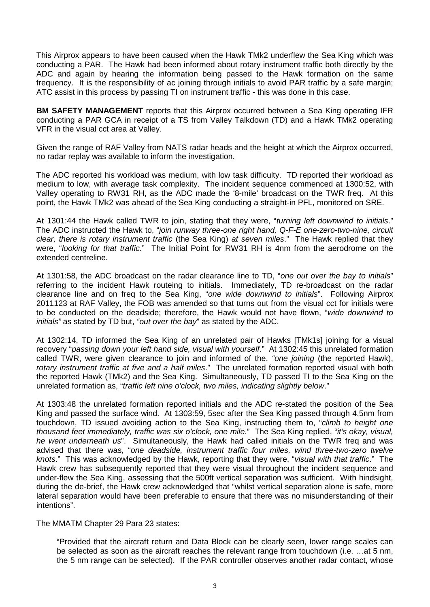This Airprox appears to have been caused when the Hawk TMk2 underflew the Sea King which was conducting a PAR. The Hawk had been informed about rotary instrument traffic both directly by the ADC and again by hearing the information being passed to the Hawk formation on the same frequency. It is the responsibility of ac joining through initials to avoid PAR traffic by a safe margin; ATC assist in this process by passing TI on instrument traffic - this was done in this case.

**BM SAFETY MANAGEMENT** reports that this Airprox occurred between a Sea King operating IFR conducting a PAR GCA in receipt of a TS from Valley Talkdown (TD) and a Hawk TMk2 operating VFR in the visual cct area at Valley.

Given the range of RAF Valley from NATS radar heads and the height at which the Airprox occurred, no radar replay was available to inform the investigation.

The ADC reported his workload was medium, with low task difficulty. TD reported their workload as medium to low, with average task complexity. The incident sequence commenced at 1300:52, with Valley operating to RW31 RH, as the ADC made the '8-mile' broadcast on the TWR freq. At this point, the Hawk TMk2 was ahead of the Sea King conducting a straight-in PFL, monitored on SRE.

At 1301:44 the Hawk called TWR to join, stating that they were, "*turning left downwind to initials*." The ADC instructed the Hawk to, "*join runway three-one right hand, Q-F-E one-zero-two-nine, circuit clear, there is rotary instrument traffic* (the Sea King) *at seven miles*." The Hawk replied that they were, "*looking for that traffic*." The Initial Point for RW31 RH is 4nm from the aerodrome on the extended centreline.

At 1301:58, the ADC broadcast on the radar clearance line to TD, "*one out over the bay to initials*" referring to the incident Hawk routeing to initials. Immediately, TD re-broadcast on the radar clearance line and on freq to the Sea King, "*one wide downwind to initials*". Following Airprox 2011123 at RAF Valley, the FOB was amended so that turns out from the visual cct for initials were to be conducted on the deadside; therefore, the Hawk would not have flown, "*wide downwind to initials"* as stated by TD but, *"out over the bay*" as stated by the ADC.

At 1302:14, TD informed the Sea King of an unrelated pair of Hawks [TMk1s] joining for a visual recovery "*passing down your left hand side, visual with yourself*." At 1302:45 this unrelated formation called TWR, were given clearance to join and informed of the, *"one joining* (the reported Hawk), *rotary instrument traffic at five and a half miles*." The unrelated formation reported visual with both the reported Hawk (TMk2) and the Sea King. Simultaneously, TD passed TI to the Sea King on the unrelated formation as, "*traffic left nine o'clock, two miles, indicating slightly below*."

At 1303:48 the unrelated formation reported initials and the ADC re-stated the position of the Sea King and passed the surface wind. At 1303:59, 5sec after the Sea King passed through 4.5nm from touchdown, TD issued avoiding action to the Sea King, instructing them to, "*climb to height one thousand feet immediately, traffic was six o'clock, one mile*." The Sea King replied, "*it's okay, visual, he went underneath us*". Simultaneously, the Hawk had called initials on the TWR freq and was advised that there was, "*one deadside, instrument traffic four miles, wind three-two-zero twelve knots*." This was acknowledged by the Hawk, reporting that they were, "*visual with that traffic*." The Hawk crew has subsequently reported that they were visual throughout the incident sequence and under-flew the Sea King, assessing that the 500ft vertical separation was sufficient. With hindsight, during the de-brief, the Hawk crew acknowledged that "whilst vertical separation alone is safe, more lateral separation would have been preferable to ensure that there was no misunderstanding of their intentions".

The MMATM Chapter 29 Para 23 states:

"Provided that the aircraft return and Data Block can be clearly seen, lower range scales can be selected as soon as the aircraft reaches the relevant range from touchdown (i.e. …at 5 nm, the 5 nm range can be selected). If the PAR controller observes another radar contact, whose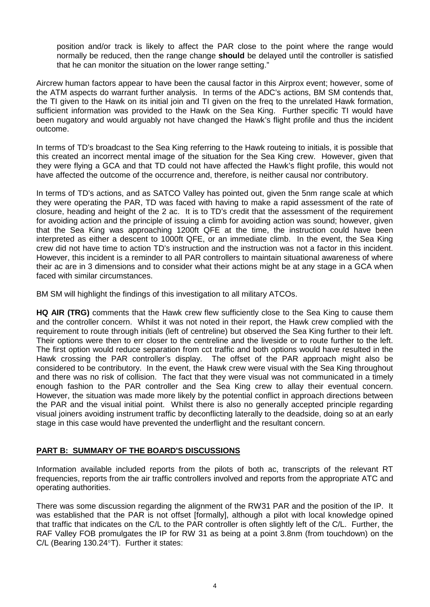position and/or track is likely to affect the PAR close to the point where the range would normally be reduced, then the range change **should** be delayed until the controller is satisfied that he can monitor the situation on the lower range setting."

Aircrew human factors appear to have been the causal factor in this Airprox event; however, some of the ATM aspects do warrant further analysis. In terms of the ADC's actions, BM SM contends that, the TI given to the Hawk on its initial join and TI given on the freq to the unrelated Hawk formation, sufficient information was provided to the Hawk on the Sea King. Further specific TI would have been nugatory and would arguably not have changed the Hawk's flight profile and thus the incident outcome.

In terms of TD's broadcast to the Sea King referring to the Hawk routeing to initials, it is possible that this created an incorrect mental image of the situation for the Sea King crew. However, given that they were flying a GCA and that TD could not have affected the Hawk's flight profile, this would not have affected the outcome of the occurrence and, therefore, is neither causal nor contributory.

In terms of TD's actions, and as SATCO Valley has pointed out, given the 5nm range scale at which they were operating the PAR, TD was faced with having to make a rapid assessment of the rate of closure, heading and height of the 2 ac. It is to TD's credit that the assessment of the requirement for avoiding action and the principle of issuing a climb for avoiding action was sound; however, given that the Sea King was approaching 1200ft QFE at the time, the instruction could have been interpreted as either a descent to 1000ft QFE, or an immediate climb. In the event, the Sea King crew did not have time to action TD's instruction and the instruction was not a factor in this incident. However, this incident is a reminder to all PAR controllers to maintain situational awareness of where their ac are in 3 dimensions and to consider what their actions might be at any stage in a GCA when faced with similar circumstances.

BM SM will highlight the findings of this investigation to all military ATCOs.

**HQ AIR (TRG)** comments that the Hawk crew flew sufficiently close to the Sea King to cause them and the controller concern. Whilst it was not noted in their report, the Hawk crew complied with the requirement to route through initials (left of centreline) but observed the Sea King further to their left. Their options were then to err closer to the centreline and the liveside or to route further to the left. The first option would reduce separation from cct traffic and both options would have resulted in the Hawk crossing the PAR controller's display. The offset of the PAR approach might also be considered to be contributory. In the event, the Hawk crew were visual with the Sea King throughout and there was no risk of collision. The fact that they were visual was not communicated in a timely enough fashion to the PAR controller and the Sea King crew to allay their eventual concern. However, the situation was made more likely by the potential conflict in approach directions between the PAR and the visual initial point. Whilst there is also no generally accepted principle regarding visual joiners avoiding instrument traffic by deconflicting laterally to the deadside, doing so at an early stage in this case would have prevented the underflight and the resultant concern.

## **PART B: SUMMARY OF THE BOARD'S DISCUSSIONS**

Information available included reports from the pilots of both ac, transcripts of the relevant RT frequencies, reports from the air traffic controllers involved and reports from the appropriate ATC and operating authorities.

There was some discussion regarding the alignment of the RW31 PAR and the position of the IP. It was established that the PAR is not offset [formally], although a pilot with local knowledge opined that traffic that indicates on the C/L to the PAR controller is often slightly left of the C/L. Further, the RAF Valley FOB promulgates the IP for RW 31 as being at a point 3.8nm (from touchdown) on the C/L (Bearing 130.24°T). Further it states: